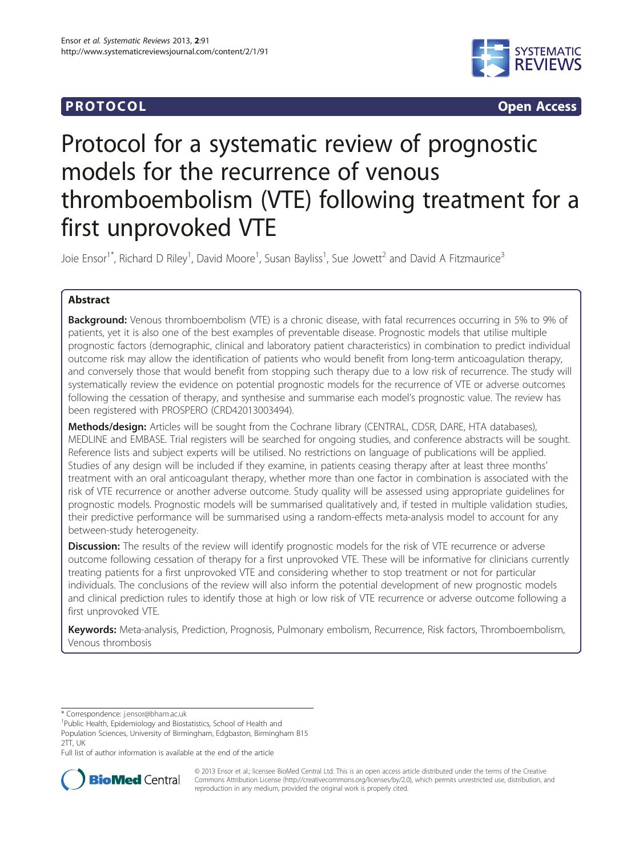# **PROTOCOL CONSUMING ACCESS**



# Protocol for a systematic review of prognostic models for the recurrence of venous thromboembolism (VTE) following treatment for a first unprovoked VTE

Joie Ensor<sup>1\*</sup>, Richard D Riley<sup>1</sup>, David Moore<sup>1</sup>, Susan Bayliss<sup>1</sup>, Sue Jowett<sup>2</sup> and David A Fitzmaurice<sup>3</sup>

# Abstract

Background: Venous thromboembolism (VTE) is a chronic disease, with fatal recurrences occurring in 5% to 9% of patients, yet it is also one of the best examples of preventable disease. Prognostic models that utilise multiple prognostic factors (demographic, clinical and laboratory patient characteristics) in combination to predict individual outcome risk may allow the identification of patients who would benefit from long-term anticoagulation therapy, and conversely those that would benefit from stopping such therapy due to a low risk of recurrence. The study will systematically review the evidence on potential prognostic models for the recurrence of VTE or adverse outcomes following the cessation of therapy, and synthesise and summarise each model's prognostic value. The review has been registered with PROSPERO (CRD42013003494).

Methods/design: Articles will be sought from the Cochrane library (CENTRAL, CDSR, DARE, HTA databases), MEDLINE and EMBASE. Trial registers will be searched for ongoing studies, and conference abstracts will be sought. Reference lists and subject experts will be utilised. No restrictions on language of publications will be applied. Studies of any design will be included if they examine, in patients ceasing therapy after at least three months' treatment with an oral anticoagulant therapy, whether more than one factor in combination is associated with the risk of VTE recurrence or another adverse outcome. Study quality will be assessed using appropriate guidelines for prognostic models. Prognostic models will be summarised qualitatively and, if tested in multiple validation studies, their predictive performance will be summarised using a random-effects meta-analysis model to account for any between-study heterogeneity.

Discussion: The results of the review will identify prognostic models for the risk of VTE recurrence or adverse outcome following cessation of therapy for a first unprovoked VTE. These will be informative for clinicians currently treating patients for a first unprovoked VTE and considering whether to stop treatment or not for particular individuals. The conclusions of the review will also inform the potential development of new prognostic models and clinical prediction rules to identify those at high or low risk of VTE recurrence or adverse outcome following a first unprovoked VTE.

Keywords: Meta-analysis, Prediction, Prognosis, Pulmonary embolism, Recurrence, Risk factors, Thromboembolism, Venous thrombosis

\* Correspondence: [j.ensor@bham.ac.uk](mailto:j.ensor@bham.ac.uk) <sup>1</sup>

Public Health, Epidemiology and Biostatistics, School of Health and Population Sciences, University of Birmingham, Edgbaston, Birmingham B15

Full list of author information is available at the end of the article



© 2013 Ensor et al.; licensee BioMed Central Ltd. This is an open access article distributed under the terms of the Creative Commons Attribution License [\(http://creativecommons.org/licenses/by/2.0\)](http://creativecommons.org/licenses/by/2.0), which permits unrestricted use, distribution, and reproduction in any medium, provided the original work is properly cited.

<sup>2</sup>TT, UK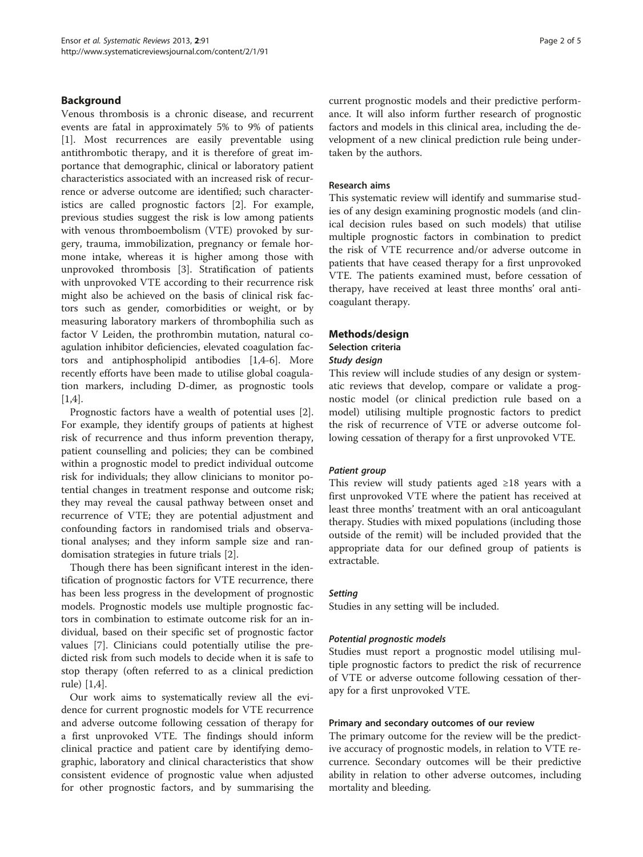# Background

Venous thrombosis is a chronic disease, and recurrent events are fatal in approximately 5% to 9% of patients [[1\]](#page-4-0). Most recurrences are easily preventable using antithrombotic therapy, and it is therefore of great importance that demographic, clinical or laboratory patient characteristics associated with an increased risk of recurrence or adverse outcome are identified; such characteristics are called prognostic factors [[2\]](#page-4-0). For example, previous studies suggest the risk is low among patients with venous thromboembolism (VTE) provoked by surgery, trauma, immobilization, pregnancy or female hormone intake, whereas it is higher among those with unprovoked thrombosis [[3\]](#page-4-0). Stratification of patients with unprovoked VTE according to their recurrence risk might also be achieved on the basis of clinical risk factors such as gender, comorbidities or weight, or by measuring laboratory markers of thrombophilia such as factor V Leiden, the prothrombin mutation, natural coagulation inhibitor deficiencies, elevated coagulation factors and antiphospholipid antibodies [\[1,4](#page-4-0)-[6\]](#page-4-0). More recently efforts have been made to utilise global coagulation markers, including D-dimer, as prognostic tools [[1,4\]](#page-4-0).

Prognostic factors have a wealth of potential uses [\[2](#page-4-0)]. For example, they identify groups of patients at highest risk of recurrence and thus inform prevention therapy, patient counselling and policies; they can be combined within a prognostic model to predict individual outcome risk for individuals; they allow clinicians to monitor potential changes in treatment response and outcome risk; they may reveal the causal pathway between onset and recurrence of VTE; they are potential adjustment and confounding factors in randomised trials and observational analyses; and they inform sample size and randomisation strategies in future trials [[2\]](#page-4-0).

Though there has been significant interest in the identification of prognostic factors for VTE recurrence, there has been less progress in the development of prognostic models. Prognostic models use multiple prognostic factors in combination to estimate outcome risk for an individual, based on their specific set of prognostic factor values [[7\]](#page-4-0). Clinicians could potentially utilise the predicted risk from such models to decide when it is safe to stop therapy (often referred to as a clinical prediction rule) [[1,4\]](#page-4-0).

Our work aims to systematically review all the evidence for current prognostic models for VTE recurrence and adverse outcome following cessation of therapy for a first unprovoked VTE. The findings should inform clinical practice and patient care by identifying demographic, laboratory and clinical characteristics that show consistent evidence of prognostic value when adjusted for other prognostic factors, and by summarising the current prognostic models and their predictive performance. It will also inform further research of prognostic factors and models in this clinical area, including the development of a new clinical prediction rule being undertaken by the authors.

#### Research aims

This systematic review will identify and summarise studies of any design examining prognostic models (and clinical decision rules based on such models) that utilise multiple prognostic factors in combination to predict the risk of VTE recurrence and/or adverse outcome in patients that have ceased therapy for a first unprovoked VTE. The patients examined must, before cessation of therapy, have received at least three months' oral anticoagulant therapy.

# Methods/design

#### Selection criteria

#### Study design

This review will include studies of any design or systematic reviews that develop, compare or validate a prognostic model (or clinical prediction rule based on a model) utilising multiple prognostic factors to predict the risk of recurrence of VTE or adverse outcome following cessation of therapy for a first unprovoked VTE.

#### Patient group

This review will study patients aged ≥18 years with a first unprovoked VTE where the patient has received at least three months' treatment with an oral anticoagulant therapy. Studies with mixed populations (including those outside of the remit) will be included provided that the appropriate data for our defined group of patients is extractable.

#### **Setting**

Studies in any setting will be included.

#### Potential prognostic models

Studies must report a prognostic model utilising multiple prognostic factors to predict the risk of recurrence of VTE or adverse outcome following cessation of therapy for a first unprovoked VTE.

#### Primary and secondary outcomes of our review

The primary outcome for the review will be the predictive accuracy of prognostic models, in relation to VTE recurrence. Secondary outcomes will be their predictive ability in relation to other adverse outcomes, including mortality and bleeding.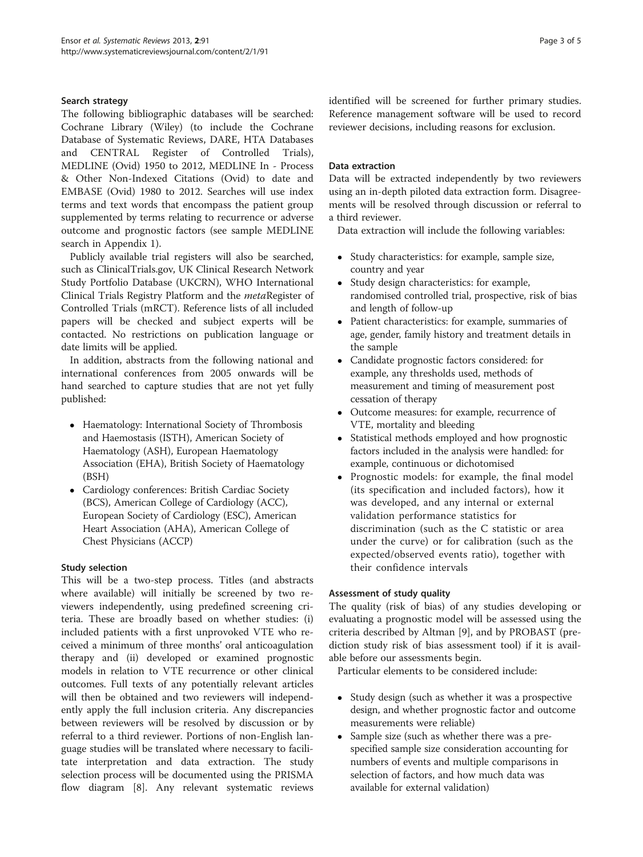# Search strategy

The following bibliographic databases will be searched: Cochrane Library (Wiley) (to include the Cochrane Database of Systematic Reviews, DARE, HTA Databases and CENTRAL Register of Controlled Trials), MEDLINE (Ovid) 1950 to 2012, MEDLINE In - Process & Other Non-Indexed Citations (Ovid) to date and EMBASE (Ovid) 1980 to 2012. Searches will use index terms and text words that encompass the patient group supplemented by terms relating to recurrence or adverse outcome and prognostic factors (see sample MEDLINE search in Appendix [1](#page-3-0)).

Publicly available trial registers will also be searched, such as ClinicalTrials.gov, UK Clinical Research Network Study Portfolio Database (UKCRN), WHO International Clinical Trials Registry Platform and the metaRegister of Controlled Trials (mRCT). Reference lists of all included papers will be checked and subject experts will be contacted. No restrictions on publication language or date limits will be applied.

In addition, abstracts from the following national and international conferences from 2005 onwards will be hand searched to capture studies that are not yet fully published:

- Haematology: International Society of Thrombosis and Haemostasis (ISTH), American Society of Haematology (ASH), European Haematology Association (EHA), British Society of Haematology (BSH)
- Cardiology conferences: British Cardiac Society (BCS), American College of Cardiology (ACC), European Society of Cardiology (ESC), American Heart Association (AHA), American College of Chest Physicians (ACCP)

# Study selection

This will be a two-step process. Titles (and abstracts where available) will initially be screened by two reviewers independently, using predefined screening criteria. These are broadly based on whether studies: (i) included patients with a first unprovoked VTE who received a minimum of three months' oral anticoagulation therapy and (ii) developed or examined prognostic models in relation to VTE recurrence or other clinical outcomes. Full texts of any potentially relevant articles will then be obtained and two reviewers will independently apply the full inclusion criteria. Any discrepancies between reviewers will be resolved by discussion or by referral to a third reviewer. Portions of non-English language studies will be translated where necessary to facilitate interpretation and data extraction. The study selection process will be documented using the PRISMA flow diagram [\[8](#page-4-0)]. Any relevant systematic reviews identified will be screened for further primary studies. Reference management software will be used to record reviewer decisions, including reasons for exclusion.

# Data extraction

Data will be extracted independently by two reviewers using an in-depth piloted data extraction form. Disagreements will be resolved through discussion or referral to a third reviewer.

Data extraction will include the following variables:

- Study characteristics: for example, sample size, country and year
- Study design characteristics: for example, randomised controlled trial, prospective, risk of bias and length of follow-up
- Patient characteristics: for example, summaries of age, gender, family history and treatment details in the sample
- Candidate prognostic factors considered: for example, any thresholds used, methods of measurement and timing of measurement post cessation of therapy
- Outcome measures: for example, recurrence of VTE, mortality and bleeding
- Statistical methods employed and how prognostic factors included in the analysis were handled: for example, continuous or dichotomised
- Prognostic models: for example, the final model (its specification and included factors), how it was developed, and any internal or external validation performance statistics for discrimination (such as the C statistic or area under the curve) or for calibration (such as the expected/observed events ratio), together with their confidence intervals

# Assessment of study quality

The quality (risk of bias) of any studies developing or evaluating a prognostic model will be assessed using the criteria described by Altman [[9\]](#page-4-0), and by PROBAST (prediction study risk of bias assessment tool) if it is available before our assessments begin.

Particular elements to be considered include:

- Study design (such as whether it was a prospective design, and whether prognostic factor and outcome measurements were reliable)
- Sample size (such as whether there was a prespecified sample size consideration accounting for numbers of events and multiple comparisons in selection of factors, and how much data was available for external validation)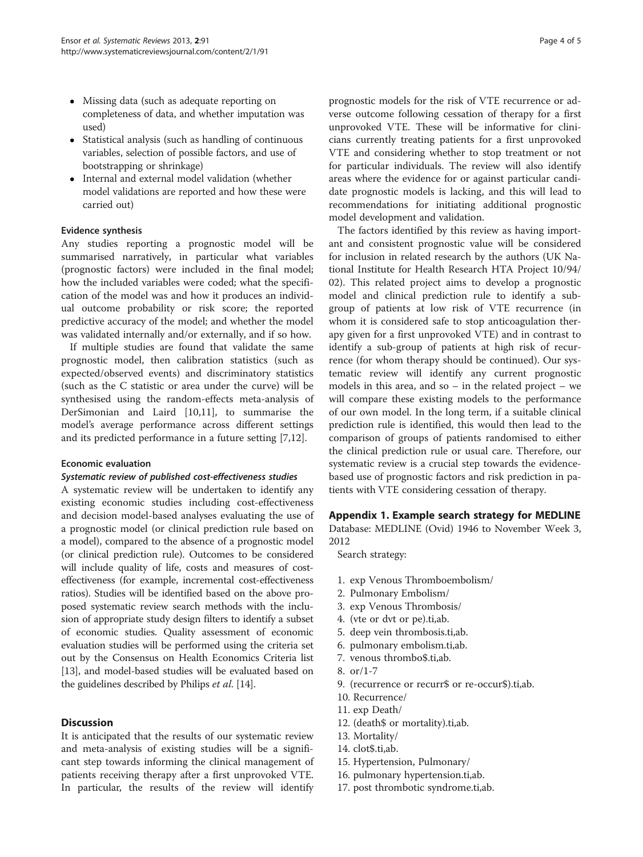- <span id="page-3-0"></span>• Missing data (such as adequate reporting on completeness of data, and whether imputation was used)
- Statistical analysis (such as handling of continuous variables, selection of possible factors, and use of bootstrapping or shrinkage)
- Internal and external model validation (whether model validations are reported and how these were carried out)

## Evidence synthesis

Any studies reporting a prognostic model will be summarised narratively, in particular what variables (prognostic factors) were included in the final model; how the included variables were coded; what the specification of the model was and how it produces an individual outcome probability or risk score; the reported predictive accuracy of the model; and whether the model was validated internally and/or externally, and if so how.

If multiple studies are found that validate the same prognostic model, then calibration statistics (such as expected/observed events) and discriminatory statistics (such as the C statistic or area under the curve) will be synthesised using the random-effects meta-analysis of DerSimonian and Laird [\[10,11](#page-4-0)], to summarise the model's average performance across different settings and its predicted performance in a future setting [\[7,12](#page-4-0)].

# Economic evaluation

## Systematic review of published cost-effectiveness studies

A systematic review will be undertaken to identify any existing economic studies including cost-effectiveness and decision model-based analyses evaluating the use of a prognostic model (or clinical prediction rule based on a model), compared to the absence of a prognostic model (or clinical prediction rule). Outcomes to be considered will include quality of life, costs and measures of costeffectiveness (for example, incremental cost-effectiveness ratios). Studies will be identified based on the above proposed systematic review search methods with the inclusion of appropriate study design filters to identify a subset of economic studies. Quality assessment of economic evaluation studies will be performed using the criteria set out by the Consensus on Health Economics Criteria list [[13](#page-4-0)], and model-based studies will be evaluated based on the guidelines described by Philips *et al.* [\[14\]](#page-4-0).

# **Discussion**

It is anticipated that the results of our systematic review and meta-analysis of existing studies will be a significant step towards informing the clinical management of patients receiving therapy after a first unprovoked VTE. In particular, the results of the review will identify

prognostic models for the risk of VTE recurrence or adverse outcome following cessation of therapy for a first unprovoked VTE. These will be informative for clinicians currently treating patients for a first unprovoked VTE and considering whether to stop treatment or not for particular individuals. The review will also identify areas where the evidence for or against particular candidate prognostic models is lacking, and this will lead to recommendations for initiating additional prognostic model development and validation.

The factors identified by this review as having important and consistent prognostic value will be considered for inclusion in related research by the authors (UK National Institute for Health Research HTA Project 10/94/ 02). This related project aims to develop a prognostic model and clinical prediction rule to identify a subgroup of patients at low risk of VTE recurrence (in whom it is considered safe to stop anticoagulation therapy given for a first unprovoked VTE) and in contrast to identify a sub-group of patients at high risk of recurrence (for whom therapy should be continued). Our systematic review will identify any current prognostic models in this area, and so  $-$  in the related project  $-$  we will compare these existing models to the performance of our own model. In the long term, if a suitable clinical prediction rule is identified, this would then lead to the comparison of groups of patients randomised to either the clinical prediction rule or usual care. Therefore, our systematic review is a crucial step towards the evidencebased use of prognostic factors and risk prediction in patients with VTE considering cessation of therapy.

# Appendix 1. Example search strategy for MEDLINE

Database: MEDLINE (Ovid) 1946 to November Week 3, 2012

Search strategy:

- 1. exp Venous Thromboembolism/
- 2. Pulmonary Embolism/
- 3. exp Venous Thrombosis/
- 4. (vte or dvt or pe).ti,ab.
- 5. deep vein thrombosis.ti,ab.
- 6. pulmonary embolism.ti,ab.
- 7. venous thrombo\$.ti,ab.
- 8. or/1-7
- 9. (recurrence or recurr\$ or re-occur\$).ti,ab.
- 10. Recurrence/
- 11. exp Death/
- 12. (death\$ or mortality).ti,ab.
- 13. Mortality/
- 14. clot\$.ti,ab.
- 15. Hypertension, Pulmonary/
- 16. pulmonary hypertension.ti,ab.
- 17. post thrombotic syndrome.ti,ab.